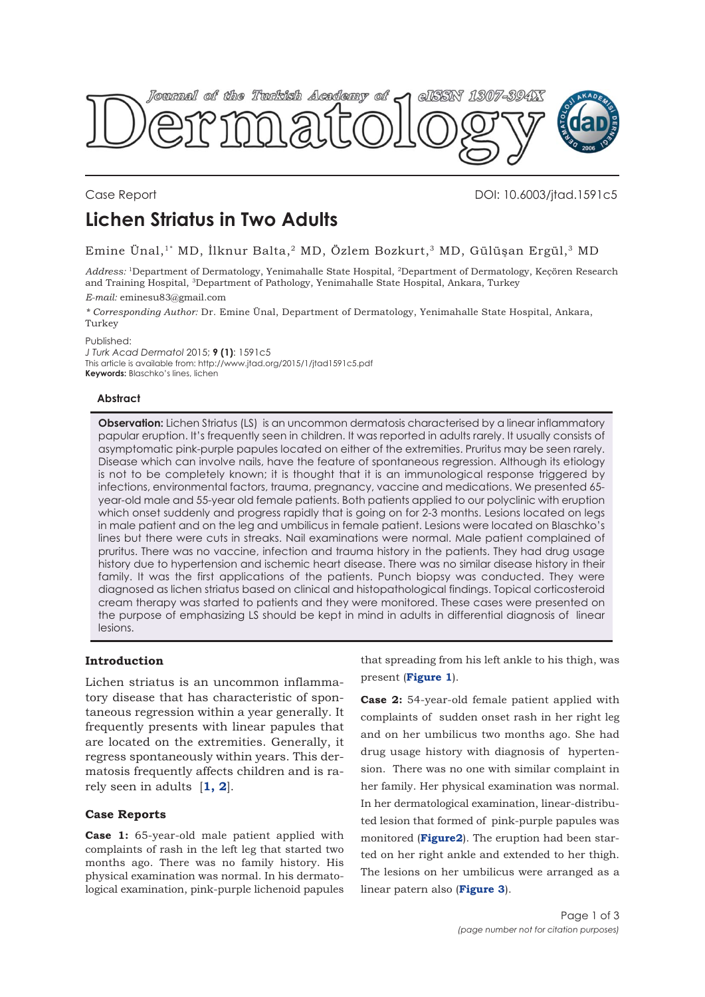

## Case Report DOI: 10.6003/jtad.1591c5

# **Lichen Striatus in Two Adults**

Emine Ünal,<sup>1\*</sup> MD, İlknur Balta,<sup>2</sup> MD, Özlem Bozkurt,<sup>3</sup> MD, Gülüşan Ergül,<sup>3</sup> MD

*Address:* 1Department of Dermatology, Yenimahalle State Hospital, 2Department of Dermatology, Keçören Research and Training Hospital, 3Department of Pathology, Yenimahalle State Hospital, Ankara, Turkey

#### *E-mail:* eminesu83@gmail.com

*\* Corresponding Author:* Dr. Emine Ünal, Department of Dermatology, Yenimahalle State Hospital, Ankara, Turkey

Published:

*J Turk Acad Dermatol* 2015; **9 (1)**: 1591c5 This article is available from: http://www.jtad.org/2015/1/jtad1591c5.pdf **Keywords:** Blaschko's lines, lichen

### **Abstract**

**Observation:** Lichen Striatus (LS) is an uncommon dermatosis characterised by a linear inflammatory papular eruption. It's frequently seen in children. It was reported in adults rarely. It usually consists of asymptomatic pink-purple papules located on either of the extremities. Pruritus may be seen rarely. Disease which can involve nails, have the feature of spontaneous regression. Although its etiology is not to be completely known; it is thought that it is an immunological response triggered by infections, environmental factors, trauma, pregnancy, vaccine and medications. We presented 65 year-old male and 55-year old female patients. Both patients applied to our polyclinic with eruption which onset suddenly and progress rapidly that is going on for 2-3 months. Lesions located on legs in male patient and on the leg and umbilicus in female patient. Lesions were located on Blaschko's lines but there were cuts in streaks. Nail examinations were normal. Male patient complained of pruritus. There was no vaccine, infection and trauma history in the patients. They had drug usage history due to hypertension and ischemic heart disease. There was no similar disease history in their family. It was the first applications of the patients. Punch biopsy was conducted. They were diagnosed as lichen striatus based on clinical and histopathological findings. Topical corticosteroid cream therapy was started to patients and they were monitored. These cases were presented on the purpose of emphasizing LS should be kept in mind in adults in differential diagnosis of linear lesions.

### **Introduction**

Lichen striatus is an uncommon inflammatory disease that has characteristic of spontaneous regression within a year generally. It frequently presents with linear papules that are located on the extremities. Generally, it regress spontaneously within years. This dermatosis frequently affects children and is rarely seen in adults [**[1](#page-2-0), [2](#page-2-0)**].

### **Case Reports**

**Case 1:** 65-year-old male patient applied with complaints of rash in the left leg that started two months ago. There was no family history. His physical examination was normal. In his dermatological examination, pink-purple lichenoid papules that spreading from his left ankle to his thigh, was present (**[Figure 1](#page-1-0)**).

**Case 2:** 54-year-old female patient applied with complaints of sudden onset rash in her right leg and on her umbilicus two months ago. She had drug usage history with diagnosis of hypertension. There was no one with similar complaint in her family. Her physical examination was normal. In her dermatological examination, linear-distributed lesion that formed of pink-purple papules was monitored (**[Figure2](#page-1-0)**). The eruption had been started on her right ankle and extended to her thigh. The lesions on her umbilicus were arranged as a linear patern also (**[Figure 3](#page-1-0)**).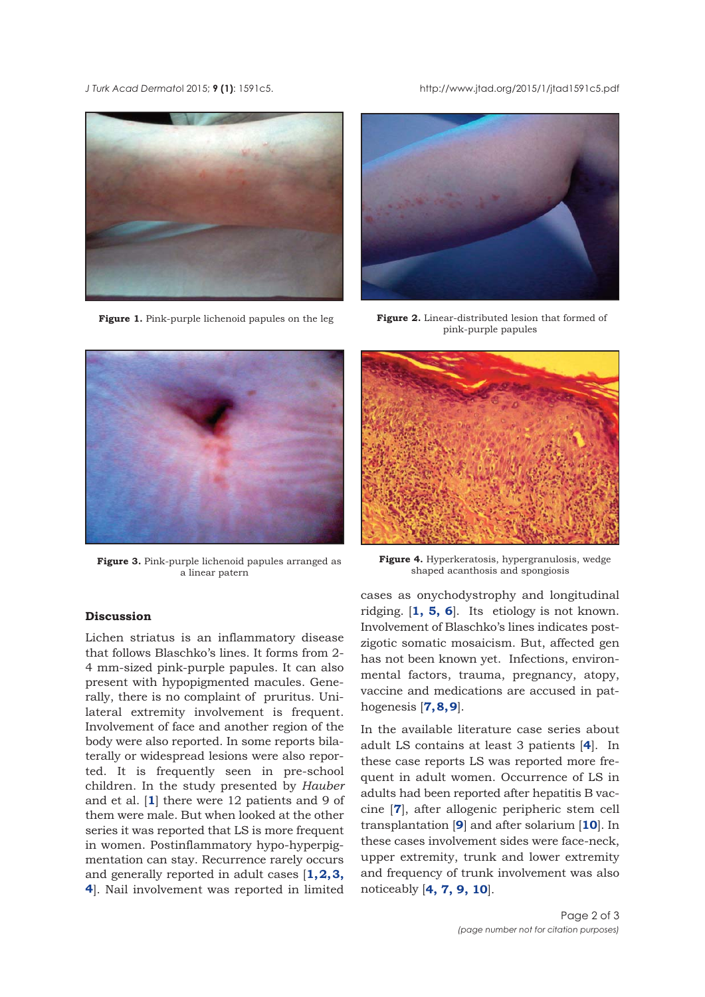<span id="page-1-0"></span>*J Turk Acad Dermato*l 2015; **9 (1)**: 1591c5. http://www.jtad.org/2015/1/jtad1591c5.pdf



**Figure 1.** Pink-purple lichenoid papules on the leg



**Figure 2.** Linear-distributed lesion that formed of pink-purple papules



**Figure 3.** Pink-purple lichenoid papules arranged as a linear patern

# **Discussion**

Lichen striatus is an inflammatory disease that follows Blaschko's lines. It forms from 2- 4 mm-sized pink-purple papules. It can also present with hypopigmented macules. Generally, there is no complaint of pruritus. Unilateral extremity involvement is frequent. Involvement of face and another region of the body were also reported. In some reports bilaterally or widespread lesions were also reported. It is frequently seen in pre-school children. In the study presented by *Hauber* and et al. [**[1](#page-2-0)**] there were 12 patients and 9 of them were male. But when looked at the other series it was reported that LS is more frequent in women. Postinflammatory hypo-hyperpigmentation can stay. Recurrence rarely occurs and generally reported in adult cases [**[1](#page-2-0), [2](#page-2-0), [3](#page-2-0), [4](#page-2-0)**]. Nail involvement was reported in limited



**Figure 4.** Hyperkeratosis, hypergranulosis, wedge shaped acanthosis and spongiosis

cases as onychodystrophy and longitudinal ridging. [**[1,](#page-2-0) [5,](#page-2-0) [6](#page-2-0)**]. Its etiology is not known. Involvement of Blaschko's lines indicates postzigotic somatic mosaicism. But, affected gen has not been known yet. Infections, environmental factors, trauma, pregnancy, atopy, vaccine and medications are accused in pathogenesis [**[7](#page-2-0), [8](#page-2-0), [9](#page-2-0)**].

In the available literature case series about adult LS contains at least 3 patients [**[4](#page-2-0)**]. In these case reports LS was reported more frequent in adult women. Occurrence of LS in adults had been reported after hepatitis B vaccine [**[7](#page-2-0)**], after allogenic peripheric stem cell transplantation [**[9](#page-2-0)**] and after solarium [**[10](#page-2-0)**]. In these cases involvement sides were face-neck, upper extremity, trunk and lower extremity and frequency of trunk involvement was also noticeably [**[4](#page-2-0), [7](#page-2-0), [9](#page-2-0), [10](#page-2-0)**].